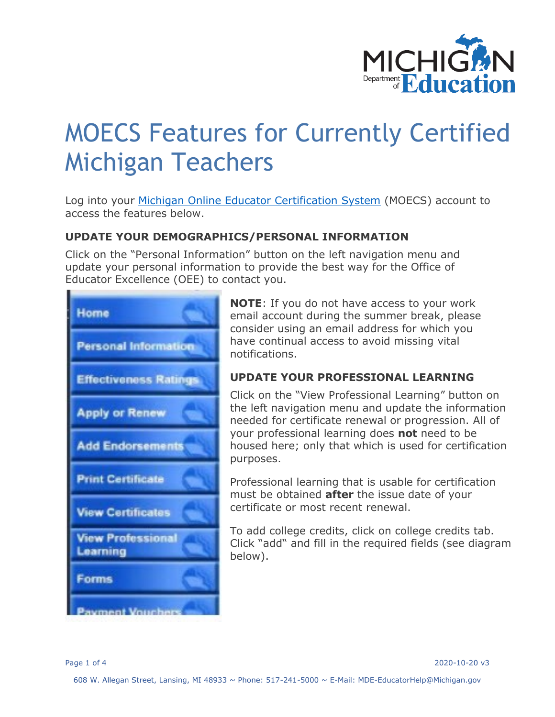

# MOECS Features for Currently Certified Michigan Teachers

Log into your [Michigan Online Educator Certification System](https://www.michigan.gov/mde/0,4615,7-140-5683_57223---,00.html) (MOECS) account to access the features below.

# **UPDATE YOUR DEMOGRAPHICS/PERSONAL INFORMATION**

Click on the "Personal Information" button on the left navigation menu and update your personal information to provide the best way for the Office of Educator Excellence (OEE) to contact you.



**NOTE**: If you do not have access to your work email account during the summer break, please consider using an email address for which you have continual access to avoid missing vital notifications.

# **UPDATE YOUR PROFESSIONAL LEARNING**

Click on the "View Professional Learning" button on the left navigation menu and update the information needed for certificate renewal or progression. All of your professional learning does **not** need to be housed here; only that which is used for certification purposes.

Professional learning that is usable for certification must be obtained **after** the issue date of your certificate or most recent renewal.

To add college credits, click on college credits tab. Click "add" and fill in the required fields (see diagram below).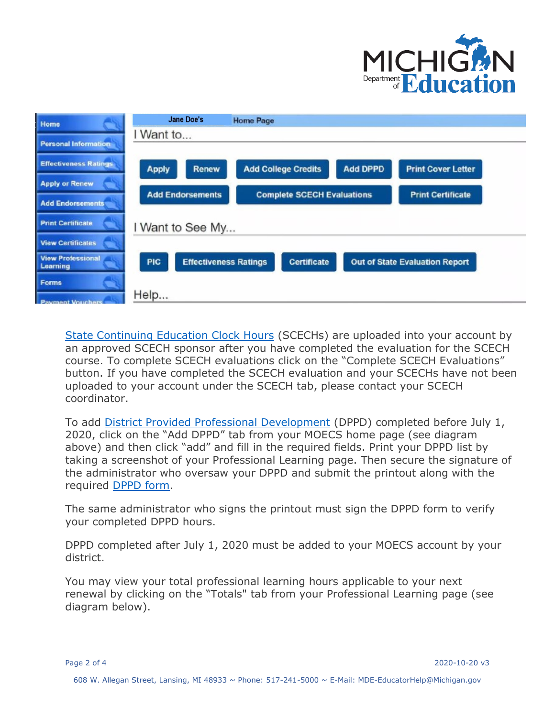



[State Continuing Education Clock Hours](https://www.michigan.gov/documents/mde/SCECH_Overview_553516_7.PDF) (SCECHs) are uploaded into your account by an approved SCECH sponsor after you have completed the evaluation for the SCECH course. To complete SCECH evaluations click on the "Complete SCECH Evaluations" button. If you have completed the SCECH evaluation and your SCECHs have not been uploaded to your account under the SCECH tab, please contact your SCECH coordinator.

To add [District Provided Professional Development](https://www.michigan.gov/documents/mde/DPPD_RECORD_FOR__CERT_552687_7.pdf) (DPPD) completed before July 1, 2020, click on the "Add DPPD" tab from your MOECS home page (see diagram above) and then click "add" and fill in the required fields. Print your DPPD list by taking a screenshot of your Professional Learning page. Then secure the signature of the administrator who oversaw your DPPD and submit the printout along with the required [DPPD form.](https://www.michigan.gov/documents/mde/DPPD_RECORD_FOR__CERT_552687_7.pdf)

The same administrator who signs the printout must sign the DPPD form to verify your completed DPPD hours.

DPPD completed after July 1, 2020 must be added to your MOECS account by your district.

You may view your total professional learning hours applicable to your next renewal by clicking on the "Totals" tab from your Professional Learning page (see diagram below).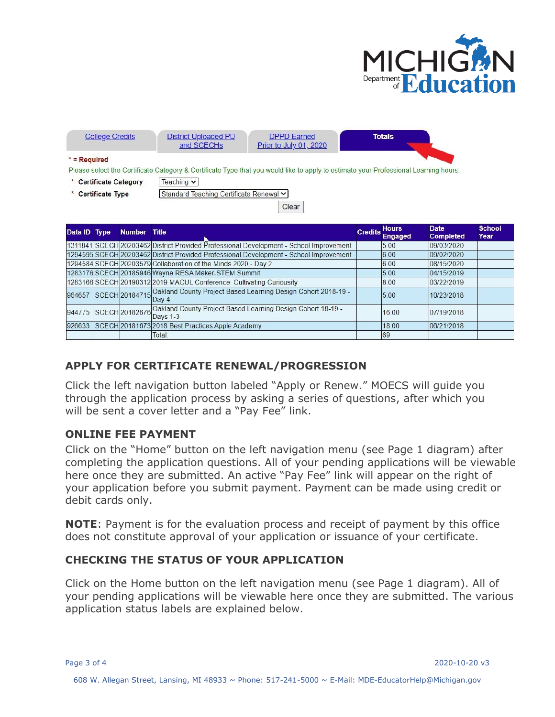



# **APPLY FOR CERTIFICATE RENEWAL/PROGRESSION**

Click the left navigation button labeled "Apply or Renew." MOECS will guide you through the application process by asking a series of questions, after which you will be sent a cover letter and a "Pay Fee" link.

### **ONLINE FEE PAYMENT**

Click on the "Home" button on the left navigation menu (see Page 1 diagram) after completing the application questions. All of your pending applications will be viewable here once they are submitted. An active "Pay Fee" link will appear on the right of your application before you submit payment. Payment can be made using credit or debit cards only.

**NOTE**: Payment is for the evaluation process and receipt of payment by this office does not constitute approval of your application or issuance of your certificate.

### **CHECKING THE STATUS OF YOUR APPLICATION**

Click on the Home button on the left navigation menu (see Page 1 diagram). All of your pending applications will be viewable here once they are submitted. The various application status labels are explained below.